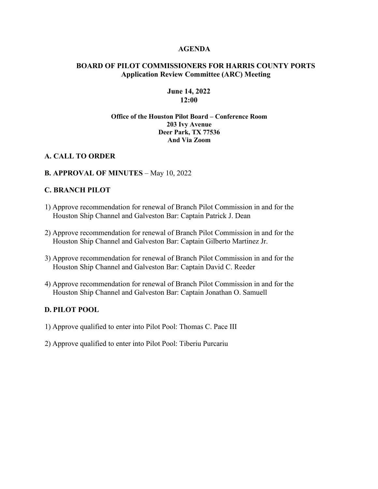#### **AGENDA**

## **BOARD OF PILOT COMMISSIONERS FOR HARRIS COUNTY PORTS Application Review Committee (ARC) Meeting**

#### **June 14, 2022 12:00**

#### **Office of the Houston Pilot Board – Conference Room 203 Ivy Avenue Deer Park, TX 77536 And Via Zoom**

## **A. CALL TO ORDER**

#### **B. APPROVAL OF MINUTES** – May 10, 2022

#### **C. BRANCH PILOT**

- 1) Approve recommendation for renewal of Branch Pilot Commission in and for the Houston Ship Channel and Galveston Bar: Captain Patrick J. Dean
- 2) Approve recommendation for renewal of Branch Pilot Commission in and for the Houston Ship Channel and Galveston Bar: Captain Gilberto Martinez Jr.
- 3) Approve recommendation for renewal of Branch Pilot Commission in and for the Houston Ship Channel and Galveston Bar: Captain David C. Reeder
- 4) Approve recommendation for renewal of Branch Pilot Commission in and for the Houston Ship Channel and Galveston Bar: Captain Jonathan O. Samuell

# **D. PILOT POOL**

- 1) Approve qualified to enter into Pilot Pool: Thomas C. Pace III
- 2) Approve qualified to enter into Pilot Pool: Tiberiu Purcariu